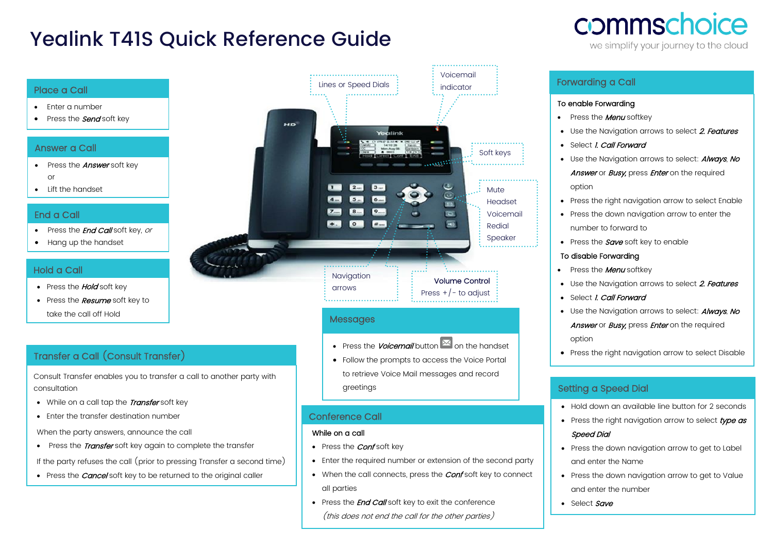# Yealink T41S Quick Reference Guide



we simplify your journey to the cloud

#### Place a Call

- Enter a number
- Press the **Send** soft key

### Answer a Call

- Press the **Answer** soft key or
- Lift the handset

### End a Call

- Press the *End Call* soft key, or
- Hang up the handset

## Hold a Call

- Press the **Hold** soft key
- Press the **Resume** soft key to take the call off Hold

# Transfer a Call (Consult Transfer)

Consult Transfer enables you to transfer a call to another party with consultation

- While on a call tap the Transfer soft key
- Enter the transfer destination number

When the party answers, announce the call

• Press the *Transfer* soft key again to complete the transfer

If the party refuses the call (prior to pressing Transfer a second time)

• Press the *Cancel* soft key to be returned to the original caller



## Messages

• Press the *Voicemail* button  $\mathbb{E}$  on the handset

• Follow the prompts to access the Voice Portal to retrieve Voice Mail messages and record greetings

## Conference Call

#### While on a call

•

- Press the *Conf* soft key
- Enter the required number or extension of the second party
- When the call connects, press the **Conf** soft key to connect all parties
- Press the **End Call** soft key to exit the conference (this does not end the call for the other parties)

# Forwarding a Call

#### To enable Forwarding

- Press the **Menu** softkey
- Use the Naviaation arrows to select 2. Features
- Select *I. Call Forward*
- Use the Navigation arrows to select: **Always**, No Answer or Busy, press Enter on the required option
- Press the right navigation arrow to select Enable
- Press the down navigation arrow to enter the number to forward to
- Press the  $Save$  soft key to enable

#### To disable Forwarding

- Press the **Menu** softkey
- Use the Navigation arrows to select 2. Features
- Select *I. Call Forward*
- Use the Navigation arrows to select: **Always**, No

Answer or Busy, press Enter on the required option

• Press the right navigation arrow to select Disable

# Setting a Speed Dial

- Hold down an available line button for 2 seconds
- Press the right navigation arrow to select type as Speed Dial
- Press the down navigation arrow to get to Label and enter the Name
- Press the down navigation arrow to get to Value and enter the number
- Select Save